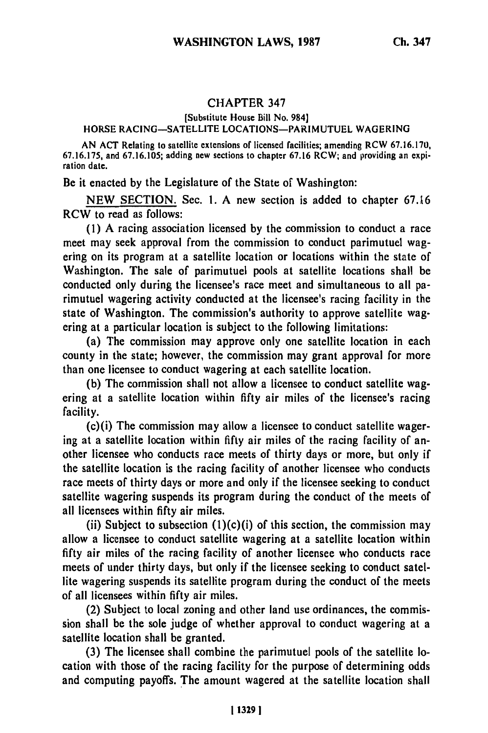## CHAPTER 347

## [Substitute House Bill No. 984] HORSE RACING-SATELLITE LOCATIONS-PARIMUTUEL WAGERING

AN ACT Relating to satellite extensions of licensed facilities; amending RCW 67.16.170, 67.16.175, and 67.16.105; adding new sections to chapter 67.16 RCW; and providing an expiration date.

Be it enacted **by** the Legislature of the State of Washington:

**NEW** SECTION. Sec. **1. A** new section is added to chapter **67.6** RCW to read as follows:

**(1) A** racing association licensed **by** the commission to conduct a race meet may seek approval from the commission to conduct parimutuel wagering on its program at a satellite location or locations within the state of Washington. The sale of parimutuel pools at satellite locations shall be conducted only during the licensee's race meet and simultaneous to all parimutuel wagering activity conducted at the licensee's racing facility in the state of Washington. The commission's authority to approve satellite wagering at a particular location is subject to the following limitations:

(a) The commission may approve only one satellite location in each county in the state; however, the commission may grant approval for more than one licensee to conduct wagering at each satellite location.

**(b)** The commission shall not allow a licensee to conduct satellite wagering at a satellite location within **fifty** air miles of the licensee's racing facility.

(c)(i) The commission may allow a licensee to conduct satellite wagering at a satellite location within **fifty** air miles of the racing facility of another licensee who conducts race meets of thirty days or more, but only if the satellite location is the racing facility of another licensee who conducts race meets of thirty days or more and only if the licensee seeking to conduct satellite wagering suspends its program during the conduct of the meets of all licensees within **fifty** air miles.

(ii) Subject to subsection  $(1)(c)(i)$  of this section, the commission may allow a licensee to conduct satellite wagering at a satellite location within **fifty** air miles of the racing facility of another licensee who conducts race meets of under thirty days, but only if the licensee seeking to conduct satellite wagering suspends its satellite program during the conduct of the meets of all licensees within **fifty** air miles.

(2) Subject to local zoning and other land use ordinances, the commission shall be the sole judge of whether approval to conduct wagering at a satellite location shall be granted.

**(3)** The licensee shall combine the parimutuel pools of the satellite location with those of the racing facility for the purpose of determining odds and computing payoffs. The amount wagered at the satellite location shall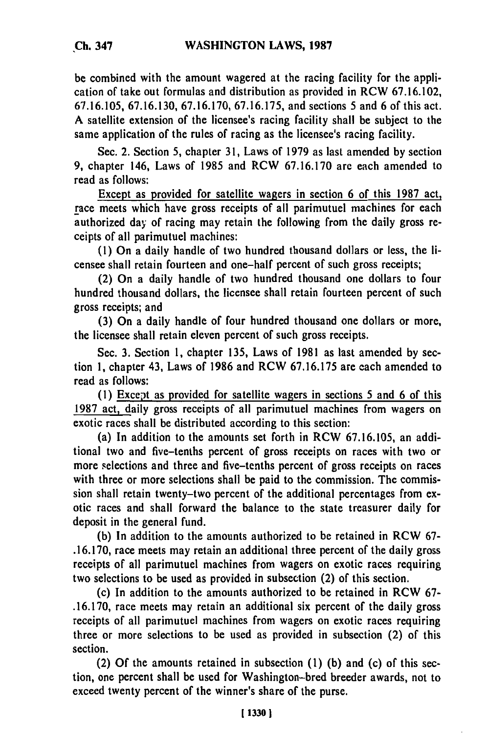**be** combined with the amount wagered at the racing facility for the application of take out formulas and distribution as provided in RCW **67.16.102, 67.16.105, 67.16.130, 67.16.170, 67.16.175,** and sections **5** and **6** of this act. A satellite extension of the licensee's racing facility shall be subject to the same application of the rules of racing as the licensee's racing facility.

Sec. 2. Section **5,** chapter **31,** Laws of **1979** as last amended **by** section **9,** chapter 146, Laws of 1985 and RCW **67.16.170** are each amended to read as follows:

Except as provided for satellite wagers in section **6** of this **1987** act, race meets which have gross receipts of all parimutuel machines for each authorized day of racing may retain the following from the daily gross receipts of all parimutuel machines:

**(1)** On a daily handle of two hundred thousand dollars or less, the licensee shall retain fourteen and one-half percent of such gross receipts;

(2) On a daily handle of two hundred thousand one dollars to four hundred thousand dollars, the licensee shall retain fourteen percent of such gross receipts; and

**(3)** On a daily handle of four hundred thousand one dollars or more, the licensee shall retain eleven percent of such gross receipts.

Sec. **3.** Section **1,** chapter **135,** Laws of **1981** as last amended **by** section **1,** chapter 43, Laws of **1986** and RCW **67.16.175** are each amended to read as follows:

**(1)** Except as provided for satellite wagers in sections **5** and **6** of this **1987** act, daily gross receipts of all parimutuel machines from wagers on exotic races shall be distributed according to this section:

(a) In addition to the amounts set forth in RCW **67.16.105,** an additional two and five-tenths percent of gross receipts on races with two or more selections and three and five-tenths percent of gross receipts on races with three or more selections shall be paid to the commission. The commission shall retain twenty-two percent of the additional percentages from exotic races and shall forward the balance to the state treasurer daily for deposit in the general fund.

**(b)** In addition to the amounts authorized to be retained in RCW **67- .16.170,** race meets may retain an additional three percent of the daily gross receipts of all parimutuel machines from wagers on exotic races requiring two selections to be used as provided in subsection (2) of this section.

(c) In addition to the amounts authorized to be retained in RCW **67- .16.170,** race meets may retain an additional six percent of the daily gross receipts of all parimutuel machines from wagers on exotic races requiring three or more selections to be used as provided in subsection (2) of this section.

(2) **Of** the amounts retained in subsection **(1) (b)** and (c) of this section, one percent shall be used for Washington-bred breeder awards, not to exceed twenty percent of the winner's share of the purse.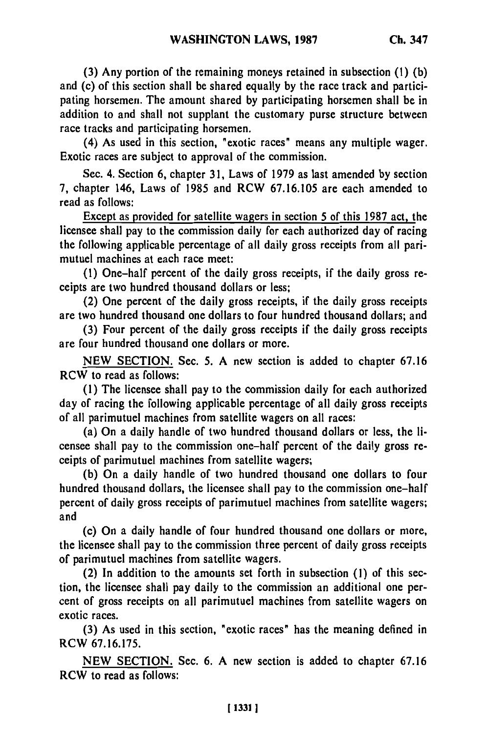**(3) Any** portion of the remaining moneys retained in subsection **(1) (b)** and (c) of this section shall be shared equally **by** the race track and participating horsemen. The amount shared **by** participating horsemen shall be in addition to and shall not supplant the customary purse structure between race tracks and participating horsemen.

(4) As used in this section, "exotic races" means any multiple wager. Exotic races are subject to approval of the commission.

Sec. 4. Section **6,** chapter **31,** Laws of **1979** as last amended **by** section **7,** chapter 146, Laws of **1985** and RCW **67.16.105** are each amended to read as follows:

Except as provided for satellite wagers in section 5 of this **1987** act, the licensee shall pay to the commission daily for each authorized day of racing the following applicable percentage of all daily gross receipts from all parimutuel machines at each race meet:

**(1)** One-half percent of the daily gross receipts, if the daily gross receipts are two hundred thousand dollars or less;

(2) One percent of the daily gross receipts, if the daily gross receipts are two hundred thousand one dollars to four hundred thousand dollars; and

**(3)** Four percent of the daily gross receipts if the daily gross receipts are four hundred thousand one dollars or more.

**NEW SECTION.** Sec. **5. A** new section is added to chapter **67.16** RCW to read as follows:

**(1)** The licensee shall pay to the commission daily for each authorized day of racing the following applicable percentage of all daily gross receipts of all parimutuel machines from satellite wagers on all races:

(a) On a daily handle of two hundred thousand dollars or less, the licensee shall pay to the commission one-half percent of the daily gross receipts of parimutuel machines from satellite wagers;

**(b)** On a daily handle of two hundred thousand one dollars to four hundred thousand dollars, the licensee shall pay to the commission one-half percent of daily gross receipts of parimutuel machines from satellite wagers; and

(c) On a daily handle of four hundred thousand one dollars or more, the licensee shall pay to the commission three percent of daily gross receipts of parimutuel machines from satellite wagers.

(2) In addition to the amounts set forth in subsection **(1)** of this section, the licensee shall pay daily to the commission an additional one percent of gross receipts on all parimutuel machines from satellite wagers on exotic races.

**(3)** As used in this section, "exotic races" has the meaning defined in RCW **67.16.175.**

**NEW SECTION.** Sec. **6. A** new section is added to chapter **67.16** RCW to read as follows: